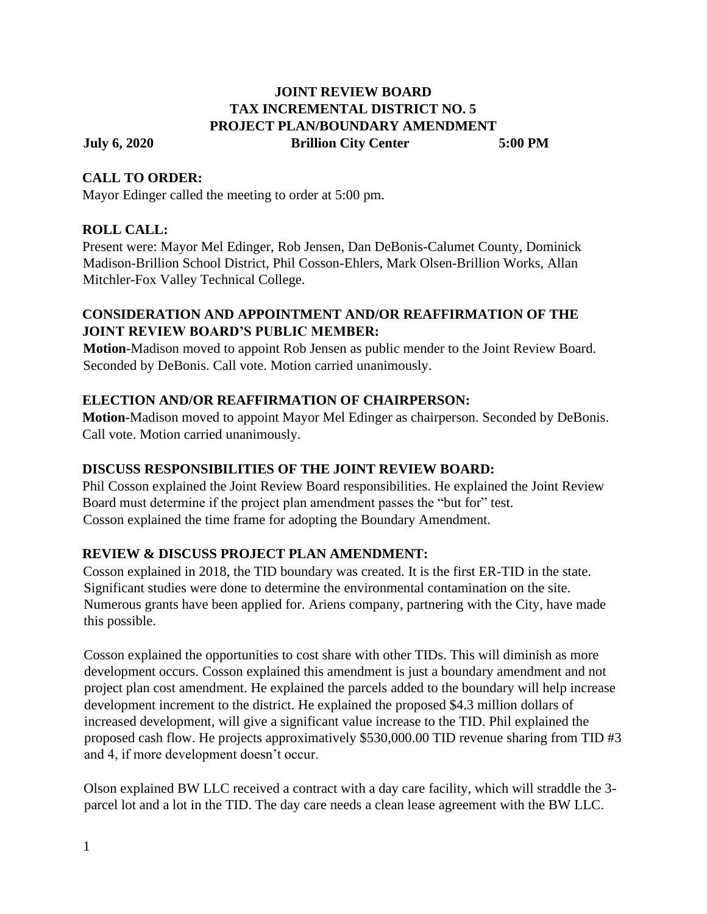#### **JOINT REVIEW BOARD TAX INCREMENTAL DISTRICT NO. 5 PROJECT PLAN/BOUNDARY AMENDMENT July 6, 2020 Brillion City Center 5:00 PM**

#### **CALL TO ORDER:**

Mayor Edinger called the meeting to order at 5:00 pm.

# **ROLL CALL:**

Present were: Mayor Mel Edinger, Rob Jensen, Dan DeBonis-Calumet County, Dominick Madison-Brillion School District, Phil Cosson-Ehlers, Mark Olsen-Brillion Works, Allan Mitchler-Fox Valley Technical College.

#### **CONSIDERATION AND APPOINTMENT AND/OR REAFFIRMATION OF THE JOINT REVIEW BOARD'S PUBLIC MEMBER:**

**Motion-**Madison moved to appoint Rob Jensen as public mender to the Joint Review Board. Seconded by DeBonis. Call vote. Motion carried unanimously.

# **ELECTION AND/OR REAFFIRMATION OF CHAIRPERSON:**

**Motion-**Madison moved to appoint Mayor Mel Edinger as chairperson. Seconded by DeBonis. Call vote. Motion carried unanimously.

# **DISCUSS RESPONSIBILITIES OF THE JOINT REVIEW BOARD:**

Phil Cosson explained the Joint Review Board responsibilities. He explained the Joint Review Board must determine if the project plan amendment passes the "but for" test. Cosson explained the time frame for adopting the Boundary Amendment.

# **REVIEW & DISCUSS PROJECT PLAN AMENDMENT:**

Cosson explained in 2018, the TID boundary was created. It is the first ER-TID in the state. Significant studies were done to determine the environmental contamination on the site. Numerous grants have been applied for. Ariens company, partnering with the City, have made this possible.

Cosson explained the opportunities to cost share with other TIDs. This will diminish as more development occurs. Cosson explained this amendment is just a boundary amendment and not project plan cost amendment. He explained the parcels added to the boundary will help increase development increment to the district. He explained the proposed \$4.3 million dollars of increased development, will give a significant value increase to the TID. Phil explained the proposed cash flow. He projects approximatively \$530,000.00 TID revenue sharing from TID #3 and 4, if more development doesn't occur.

Olson explained BW LLC received a contract with a day care facility, which will straddle the 3 parcel lot and a lot in the TID. The day care needs a clean lease agreement with the BW LLC.